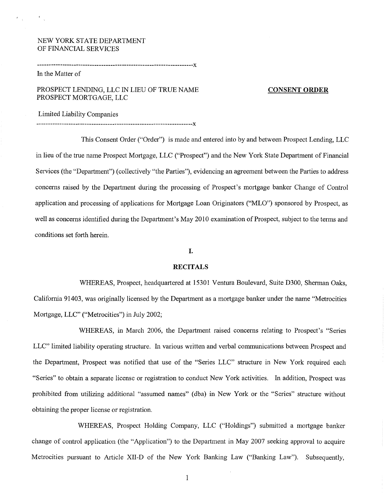# NEW YORK STATE DEPARTMENT OF FINANCIAL SERVICES

#### In the Matter of

## PROSPECT LENDING, LLC IN LIEU OF TRUE NAME **CONSENT ORDER**  PROSPECT MORTGAGE, LLC

--------------------------------------------------------------------X

Limited Liability Companies

--------------------------------------------------------------------X

This Consent Order ("Order") is made and entered into by and between Prospect Lending, LLC in lieu of the true name Prospect Mortgage, LLC ("Prospect") and the New York State Department of Financial Services (the "Department") (collectively "the Parties"), evidencing an agreement between the Parties to address concerns raised by the Department during the processing of Prospect's mortgage banker Change of Control application and processing of applications for Mortgage Loan Originators ("MLO") sponsored by Prospect, as well as concerns identified during the Department's May 2010 examination of Prospect, subject to the terms and conditions set forth herein.

# **I.**

#### **RECITALS**

WHEREAS, Prospect, headquartered at 15301 Ventura Boulevard, Suite D300, Sherman Oaks, California 91403, was originally licensed by the Department as a mortgage banker under the name "Metrocities Mortgage, LLC" ("Metrocities") in July 2002;

WHEREAS, in March 2006, the Department raised concerns relating to Prospect's "Series LLC" limited liability operating structure. In various written and verbal communications between Prospect and the Department, Prospect was notified that use of the "Series LLC" structure in New York required each "Series" to obtain a separate license or registration to conduct New York activities. In addition, Prospect was prohibited from utilizing additional "assumed names" (dba) in New York or the "Series" structure without obtaining the proper license or registration.

WHEREAS, Prospect Holding Company, LLC ("Holdings") submitted a mortgage banker change of control application (the "Application") to the Department in May 2007 seeking approval to acquire Metrocities pursuant to Article XII-D of the New York Banking Law ("Banking Law"). Subsequently,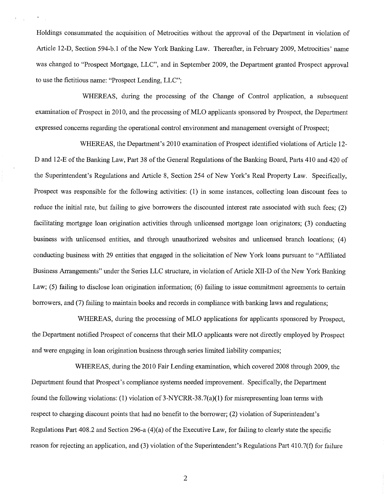Holdings consummated the acquisition of Metrocities without the approval of the Department in violation of Article 12-D, Section 594-b.1 of the New York Banking Law. Thereafter, in February 2009, Metrocities' name was changed to "Prospect Mortgage, LLC", and in September 2009, the Department granted Prospect approval to use the fictitious name: "Prospect Lending, LLC";

WHEREAS, during the processing of the Change of Control application, a subsequent examination of Prospect in 2010, and the processing of MLO applicants sponsored by Prospect, the Department expressed concerns regarding the operational control environment and management oversight of Prospect;

WHEREAS, the Department's 2010 examination of Prospect identified violations of Article 12 D and 12-E of the Banking Law, Part 38 of the General Regulations of the Banking Board, Parts 410 and 420 of the Superintendent's Regulations and Article 8, Section 254 of New York's Real Property Law. Specifically, Prospect was responsible for the following activities: (1) in some instances, collecting loan discount fees to reduce the initial rate, but failing to give borrowers the discounted interest rate associated with such fees; (2) facilitating mortgage loan origination activities through unlicensed mortgage loan originators; (3) conducting business with unlicensed entities, and through unauthorized websites and unlicensed branch locations; (4) conducting business with 29 entities that engaged in the solicitation of New York loans pursuant to "Affiliated Business Arrangements" under the Series LLC structure, in violation of Article XII-D of the New York Banking Law; (5) failing to disclose loan origination information; (6) failing to issue commitment agreements to certain borrowers, and (7) failing to maintain books and records in compliance with banking laws and regulations;

WHEREAS, during the processing of MLO applications for applicants sponsored by Prospect, the Department notified Prospect of concerns that their MLO applicants were not directly employed by Prospect and were engaging in loan origination business through series limited liability companies;

WHEREAS, during the 2010 Fair Lending examination, which covered 2008 through 2009, the Department found that Prospect's compliance systems needed improvement. Specifically, the Department found the following violations: (1) violation of 3-NYCRR-38.7(a)(1) for misrepresenting loan terms with respect to charging discount points that had no benefit to the borrower; (2) violation of Superintendent's Regulations Part 408.2 and Section 296-a (4)(a) of the Executive Law, for failing to clearly state the specific reason for rejecting an application, and (3) violation ofthe Superintendent's Regulations Part 410.7(f) for failure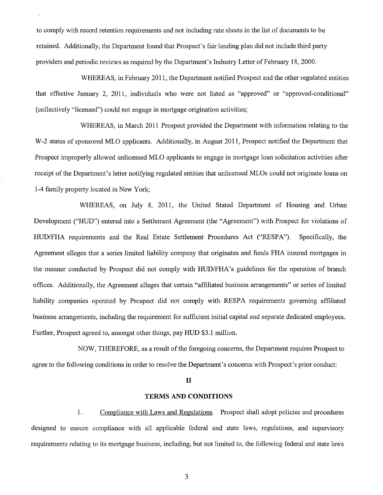to comply with record retention requirements and not including rate sheets in the list of documents to be retained. Additionally, the Department found that Prospect's fair lending plan did not include third party providers and periodic reviews as required by the Department's Industry Letter ofFebruary 18, 2000.

WHEREAS, in February 2011, the Department notified Prospect and the other regulated entities that effective January 2, 2011, individuals who were not listed as "approved" or "approved-conditional" (collectively "licensed") could not engage in mortgage origination activities;

WHEREAS, in March 2011 Prospect provided the Department with information relating to the W-2 status of sponsored MLO applicants. Additionally, in August 2011, Prospect notified the Department that Prospect improperly allowed unlicensed MLO applicants to engage in mortgage loan solicitation activities after receipt of the Department's letter notifying regulated entities that unlicensed MLOs could not originate loans on 1-4 family property located in New York;

WHEREAS, on July 8, 2011, the United Stated Department of Housing and Urban Development ("HUD") entered into a Settlement Agreement (the "Agreement") with Prospect for violations of HUD/FHA requirements and the Real Estate Settlement Procedures Act ("RESPA"). Specifically, the Agreement alleges that a series limited liability company that originates and funds FHA insured mortgages in the manner conducted by Prospect did not comply with HUD/FHA's guidelines for the operation of branch offices. Additionally, the Agreement alleges that certain "affiliated business arrangements" or series of limited liability companies operated by Prospect did not comply with RESPA requirements governing affiliated business arrangements, including the requirement for sufficient initial capital and separate dedicated employees. Further, Prospect agreed to, amongst other things, pay HUD \$3.1 million.

NOW, THEREFORE, as a result of the foregoing concerns, the Department requires Prospect to agree to the following conditions in order to resolve the Department's concerns with Prospect's prior conduct:

## II

### **TERMS AND CONDITIONS**

1. Compliance with Laws and Regulations. Prospect shall adopt policies and procedures designed to ensure compliance with all applicable federal and state laws, regulations, and supervisory requirements relating to its mortgage business, including, but not limited to, the following federal and state laws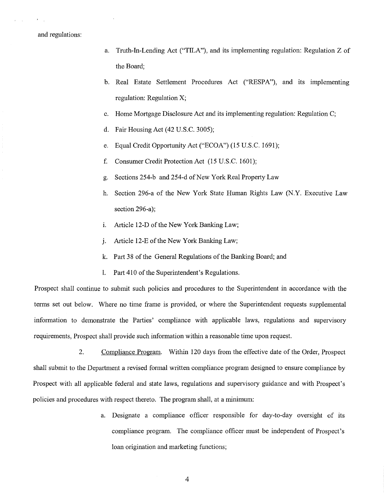#### and regulations:

- a. Truth-In-Lending Act ("TILA"), and its implementing regulation: Regulation  $Z$  of the Board;
- b. Real Estate Settlement Procedures Act ("RESPA"), and its implementing regulation: Regulation X;
- c. Home Mortgage Disclosure Act and its implementing regulation: Regulation C;
- d. Fair Housing Act (42 U.S.C. 3005);
- e. Equal Credit Opportunity Act ("ECOA") (15 U.S.C. 1691);
- f. Consumer Credit Protection Act (15 U.S.C. 1601);
- g. Sections 254-b and 254-d of New York Real Property Law
- h. Section 296-a of the New York State Human Rights Law (N.Y. Executive Law section 296-a):
- i. Article 12-D of the New York Banking Law;
- i. Article 12-E of the New York Banking Law;
- k. Part 38 of the General Regulations of the Banking Board; and
- 1. Part 410 of the Superintendent's Regulations.

Prospect shall continue to submit such policies and procedures to the Superintendent in accordance with the terms set out below. Where no time frame is provided, or where the Superintendent requests supplemental information to demonstrate the Parties' compliance with applicable laws, regulations and supervisory requirements, Prospect shall provide such information within a reasonable time upon request.

2. Compliance Program. Within 120 days from the effective date of the Order, Prospect shall submit to the Department a revised formal written compliance program designed to ensure compliance by Prospect with all applicable federal and state laws, regulations and supervisory guidance and with Prospect's policies and procedures with respect thereto. The program shall, at a minimum:

> a. Designate a compliance officer responsible for day-to-day oversight of its compliance program. The compliance officer must be independent of Prospect's loan origination and marketing functions;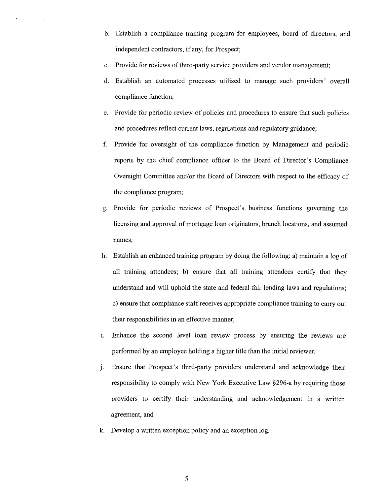- b. Establish a compliance training program for employees, board of directors, and independent contractors, if any, for Prospect;
- c. Provide for reviews of third-party service providers and vendor management;

 $\epsilon_{\rm max} = 10^{-4}$  .

- d. Establish an automated processes utilized to manage such providers' overall compliance function;
- e. Provide for periodic review of policies and procedures to ensure that such policies and procedures reflect current laws, regulations and regulatory guidance;
- f. Provide for oversight of the compliance function by Management and periodic reports by the chief compliance officer to the Board of Director's Compliance Oversight Committee and/or the Board of Directors with respect to the efficacy of the compliance program;
- Provide for periodic reviews of Prospect's business functions governing the licensing and approval of mortgage loan originators, branch locations, and assumed names;
- h. Establish an enhanced training program by doing the following: a) maintain a log of all training attendees; b) ensure that all training attendees certify that they understand and will uphold the state and federal fair lending laws and regulations; c) ensure that compliance staff receives appropriate compliance training to carry out their responsibilities in an effective manner;
- i. Enhance the second level loan review process by ensuring the reviews are performed by an employee holding a higher title than the initial reviewer.
- j. Ensure that Prospect's third-party providers understand and acknowledge their responsibility to comply with New York Executive Law §296-a by requiring those providers to certify their understanding and acknowledgement in a written agreement, and
- k. Develop a written exception policy and an exception log.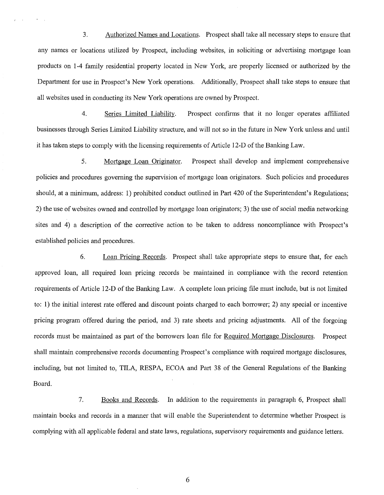3. Authorized Names and Locations. Prospect shall take all necessary steps to ensure that any names or locations utilized by Prospect, including websites, in soliciting or advertising mortgage loan products on 1-4 family residential property located in New York, are properly licensed or authorized by the Department for use in Prospect's New York operations. Additionally, Prospect shall take steps to ensure that all websites used in conducting its New York operations are owned by Prospect.

 $\sim$ 

4. Series Limited Liability. Prospect confirms that it no longer operates affiliated businesses through Series Limited Liability structure, and will not so in the future in New York unless and until it has taken steps to comply with the licensing requirements of Article 12-D of the Banking Law.

5. Mortgage Loan Originator. Prospect shall develop and implement comprehensive policies and procedures governing the supervision of mortgage loan originators. Such policies and procedures should, at a minimum, address: 1) prohibited conduct outlined in Part 420 of the Superintendent's Regulations; 2) the use ofwebsites owned and controlled by mortgage loan originators; 3) the use of social media networking sites and 4) a description of the corrective action to be taken to address noncompliance with Prospect's established policies and procedures.

6. Loan Pricing Records. Prospect shall take appropriate steps to ensure that, for each approved loan, all required loan pricing records be maintained in compliance with the record retention requirements of Article 12-D of the Banking Law. A complete loan pricing file must include, but is not limited to: 1) the initial interest rate offered and discount points charged to each borrower; 2) any special or incentive pricing program offered during the period, and 3) rate sheets and pricing adjustments. All of the forgoing records must be maintained as part of the borrowers loan file for Required Mortgage Disclosures. Prospect shall maintain comprehensive records documenting Prospect's compliance with required mortgage disclosures, including, but not limited to, TILA, RESPA, ECOA and Part 38 of the General Regulations of the Banking Board.

7. Books and Records. In addition to the requirements in paragraph 6, Prospect shall maintain books and records in a manner that will enable the Superintendent to determine whether Prospect is complying with all applicable federal and state laws, regulations, supervisory requirements and guidance letters.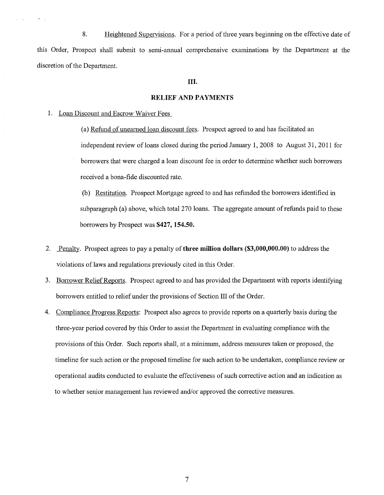8. Heightened Supervisions. For a period of three years beginning on the effective date of this Order, Prospect shall submit to semi-annual comprehensive examinations by the Department at the discretion of the Department.

## **III.**

# **RELIEF AND PAYMENTS**

### 1. Loan Discount and Escrow Waiver Fees

 $\mathbf{r} = \mathbf{s} + \mathbf{r}$  .

 $\mathbf{m}=\frac{1}{2}$ 

(a) Refund of unearned loan discount fees. Prospect agreed to and has facilitated an independent review of loans closed during the period January 1, 2008 to August 31, 2011 for borrowers that were charged a loan discount fee in order to determine whether such borrowers received a bona-fide discounted rate.

(b) Restitution. Prospect Mortgage agreed to and has refunded the borrowers identified in subparagraph (a) above, which total 270 loans. The aggregate amount of refunds paid to these borrowers by Prospect was **\$427, 154.50.** 

- 2. Penalty. Prospect agrees to pay a penalty of **three million dollars (\$3,000,000.00)** to address the violations of laws and regulations previously cited in this Order.
- 3. Borrower Relief Reports. Prospect agreed to and has provided the Department with reports identifying borrowers entitled to relief under the provisions of Section III of the Order.
- 4. Compliance Progress Reports: Prospect also agrees to provide reports on a quarterly basis during the three-year period covered by this Order to assist the Department in evaluating compliance with the provisions of this Order. Such reports shall, at a minimum, address measures taken or proposed, the timeline for such action or the proposed timeline for such action to be undertaken, compliance review or operational audits conducted to evaluate the effectiveness of such corrective action and an indication as to whether senior management has reviewed and/or approved the corrective measures.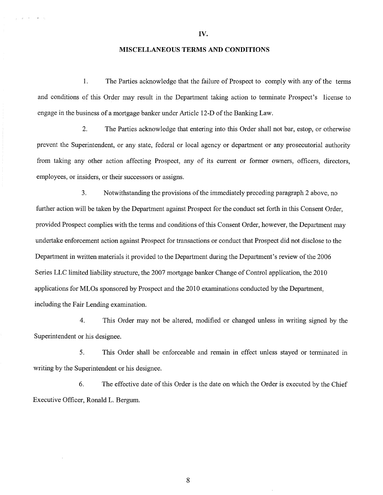**IV.** 

### **MISCELLANEOUS TERMS AND CONDITIONS**

 $j\in\{0,1,2,\ldots, n-1\}$ 

1. The Parties acknowledge that the failure of Prospect to comply with any of the terms and conditions of this Order may result in the Department taking action to terminate Prospect's license to engage in the business of a mortgage banker under Article 12-D of the Banking Law.

2. The Parties acknowledge that entering into this Order shall not bar, estop, or otherwise prevent the Superintendent, or any state, federal or local agency or department or any prosecutorial authority from taking any other action affecting Prospect, any of its current or former owners, officers, directors, employees, or insiders, or their successors or assigns.

3. Notwithstanding the provisions of the immediately preceding paragraph 2 above, no further action will be taken by the Department against Prospect for the conduct set forth in this Consent Order, provided Prospect complies with the terms and conditions of this Consent Order, however, the Department may undertake enforcement action against Prospect for transactions or conduct that Prospect did not disclose to the Department in written materials it provided to the Department during the Department's review of the 2006 Series LLC limited liability structure, the 2007 mortgage banker Change of Control application, the 2010 applications for MLOs sponsored by Prospect and the 2010 examinations conducted by the Department, including the Fair Lending examination.

4. This Order may not be altered, modified or changed unless in writing signed by the Superintendent or his designee.

5. This Order shall be enforceable and remain in effect unless stayed or terminated in writing by the Superintendent or his designee.

6. The effective date of this Order is the date on which the Order is executed by the Chief Executive Officer, Ronald L. Bergum.